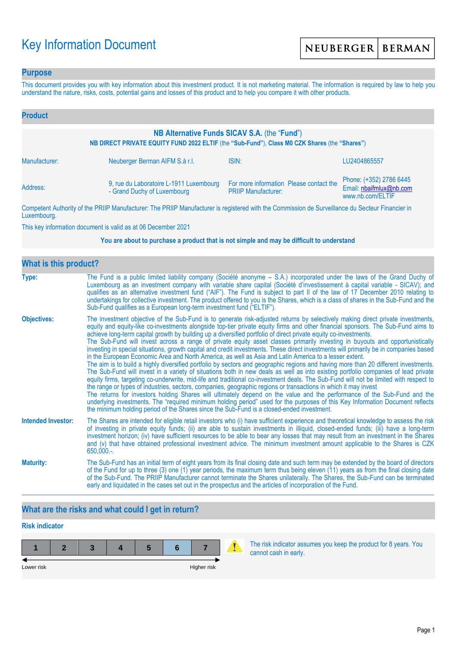# Key Information Document

### **Purpose**

This document provides you with key information about this investment product. It is not marketing material. The information is required by law to help you understand the nature, risks, costs, potential gains and losses of this product and to help you compare it with other products.

| <b>Product</b>                                                                                                                                |                                                                        |                                                                       |                                                                        |  |
|-----------------------------------------------------------------------------------------------------------------------------------------------|------------------------------------------------------------------------|-----------------------------------------------------------------------|------------------------------------------------------------------------|--|
| NB Alternative Funds SICAV S.A. (the "Fund")<br>NB DIRECT PRIVATE EQUITY FUND 2022 ELTIF (the "Sub-Fund"), Class M0 CZK Shares (the "Shares") |                                                                        |                                                                       |                                                                        |  |
| Manufacturer:                                                                                                                                 | Neuberger Berman AIFM S.à r.l.                                         | ISIN:                                                                 | LU2404865557                                                           |  |
| Address:                                                                                                                                      | 9, rue du Laboratoire L-1911 Luxembourg<br>- Grand Duchy of Luxembourg | For more information Please contact the<br><b>PRIIP Manufacturer:</b> | Phone: (+352) 2786 6445<br>Email: nbaifmlux@nb.com<br>www.nb.com/ELTIF |  |

Competent Authority of the PRIIP Manufacturer: The PRIIP Manufacturer is registered with the Commission de Surveillance du Secteur Financier in Luxembourg.

This key information document is valid as at 06 December 2021

#### **You are about to purchase a product that is not simple and may be difficult to understand**

| <b>What is this product?</b> |                                                                                                                                                                                                                                                                                                                                                                                                                                                                                                                                                                                                                                                                                                                                                                                                                                                                                                                                                                                                                                                                                                                                                                                                                                                                                                                                                                                                                                                                                                                                                                                                                                                                               |  |  |  |
|------------------------------|-------------------------------------------------------------------------------------------------------------------------------------------------------------------------------------------------------------------------------------------------------------------------------------------------------------------------------------------------------------------------------------------------------------------------------------------------------------------------------------------------------------------------------------------------------------------------------------------------------------------------------------------------------------------------------------------------------------------------------------------------------------------------------------------------------------------------------------------------------------------------------------------------------------------------------------------------------------------------------------------------------------------------------------------------------------------------------------------------------------------------------------------------------------------------------------------------------------------------------------------------------------------------------------------------------------------------------------------------------------------------------------------------------------------------------------------------------------------------------------------------------------------------------------------------------------------------------------------------------------------------------------------------------------------------------|--|--|--|
| Type:                        | The Fund is a public limited liability company (Société anonyme – S.A.) incorporated under the laws of the Grand Duchy of<br>Luxembourg as an investment company with variable share capital (Société d'investissement à capital variable - SICAV); and<br>qualifies as an alternative investment fund ("AIF"). The Fund is subject to part II of the law of 17 December 2010 relating to<br>undertakings for collective investment. The product offered to you is the Shares, which is a class of shares in the Sub-Fund and the<br>Sub-Fund qualifies as a European long-term investment fund ("ELTIF").                                                                                                                                                                                                                                                                                                                                                                                                                                                                                                                                                                                                                                                                                                                                                                                                                                                                                                                                                                                                                                                                    |  |  |  |
| <b>Objectives:</b>           | The investment objective of the Sub-Fund is to generate risk-adjusted returns by selectively making direct private investments,<br>equity and equity-like co-investments alongside top-tier private equity firms and other financial sponsors. The Sub-Fund aims to<br>achieve long-term capital growth by building up a diversified portfolio of direct private equity co-investments.<br>The Sub-Fund will invest across a range of private equity asset classes primarily investing in buyouts and opportunistically<br>investing in special situations, growth capital and credit investments. These direct investments will primarily be in companies based<br>in the European Economic Area and North America, as well as Asia and Latin America to a lesser extent.<br>The aim is to build a highly diversified portfolio by sectors and geographic regions and having more than 20 different investments.<br>The Sub-Fund will invest in a variety of situations both in new deals as well as into existing portfolio companies of lead private<br>equity firms, targeting co-underwrite, mid-life and traditional co-investment deals. The Sub-Fund will not be limited with respect to<br>the range or types of industries, sectors, companies, geographic regions or transactions in which it may invest<br>The returns for investors holding Shares will ultimately depend on the value and the performance of the Sub-Fund and the<br>underlying investments. The "required minimum holding period" used for the purposes of this Key Information Document reflects<br>the minimum holding period of the Shares since the Sub-Fund is a closed-ended investment. |  |  |  |
| <b>Intended Investor:</b>    | The Shares are intended for eligible retail investors who (i) have sufficient experience and theoretical knowledge to assess the risk<br>of investing in private equity funds; (ii) are able to sustain investments in illiquid, closed-ended funds; (iii) have a long-term<br>investment horizon; (iv) have sufficient resources to be able to bear any losses that may result from an investment in the Shares<br>and (v) that have obtained professional investment advice. The minimum investment amount applicable to the Shares is CZK<br>$650,000.$ -.                                                                                                                                                                                                                                                                                                                                                                                                                                                                                                                                                                                                                                                                                                                                                                                                                                                                                                                                                                                                                                                                                                                 |  |  |  |
| <b>Maturity:</b>             | The Sub-Fund has an initial term of eight years from its final closing date and such term may be extended by the board of directors<br>of the Fund for up to three (3) one (1) year periods, the maximum term thus being eleven (11) years as from the final closing date<br>of the Sub-Fund. The PRIIP Manufacturer cannot terminate the Shares unilaterally. The Shares, the Sub-Fund can be terminated<br>early and liquidated in the cases set out in the prospectus and the articles of incorporation of the Fund.                                                                                                                                                                                                                                                                                                                                                                                                                                                                                                                                                                                                                                                                                                                                                                                                                                                                                                                                                                                                                                                                                                                                                       |  |  |  |

# **What are the risks and what could I get in return?**

# **Risk indicator**



The risk indicator assumes you keep the product for 8 years. You cannot cash in early.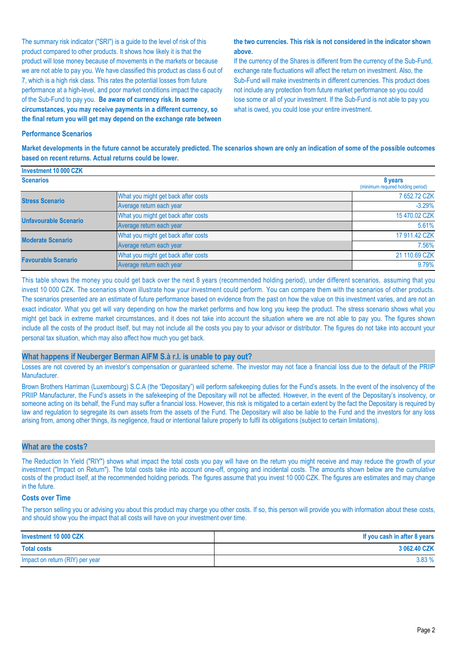The summary risk indicator ("SRI") is a guide to the level of risk of this product compared to other products. It shows how likely it is that the product will lose money because of movements in the markets or because we are not able to pay you. We have classified this product as class 6 out of 7, which is a high risk class. This rates the potential losses from future performance at a high-level, and poor market conditions impact the capacity of the Sub-Fund to pay you. **Be aware of currency risk. In some circumstances, you may receive payments in a different currency, so the final return you will get may depend on the exchange rate between** 

#### **the two currencies. This risk is not considered in the indicator shown above.**

If the currency of the Shares is different from the currency of the Sub-Fund, exchange rate fluctuations will affect the return on investment. Also, the Sub-Fund will make investments in different currencies. This product does not include any protection from future market performance so you could lose some or all of your investment. If the Sub-Fund is not able to pay you what is owed, you could lose your entire investment.

#### **Performance Scenarios**

**Investment 10 000 CZK**

**Market developments in the future cannot be accurately predicted. The scenarios shown are only an indication of some of the possible outcomes based on recent returns. Actual returns could be lower.**

| <b>INVESUMENT IV VUU UZN</b> |                                     |                                              |
|------------------------------|-------------------------------------|----------------------------------------------|
| <b>Scenarios</b>             |                                     | 8 years<br>(minimum required holding period) |
| <b>Stress Scenario</b>       | What you might get back after costs | 7 652.72 CZK                                 |
|                              | Average return each year            | $-3.29%$                                     |
| <b>Unfavourable Scenario</b> | What you might get back after costs | 15 470.02 CZK                                |
|                              | Average return each year            | 5.61%                                        |
| <b>Moderate Scenario</b>     | What you might get back after costs | 17 911.42 CZK                                |
|                              | Average return each year            | 7.56%                                        |
| <b>Favourable Scenario</b>   | What you might get back after costs | 21 110.69 CZK                                |
|                              | Average return each year            | 9.79%                                        |

This table shows the money you could get back over the next 8 years (recommended holding period), under different scenarios, assuming that you invest 10 000 CZK. The scenarios shown illustrate how your investment could perform. You can compare them with the scenarios of other products. The scenarios presented are an estimate of future performance based on evidence from the past on how the value on this investment varies, and are not an exact indicator. What you get will vary depending on how the market performs and how long you keep the product. The stress scenario shows what you might get back in extreme market circumstances, and it does not take into account the situation where we are not able to pay you. The figures shown include all the costs of the product itself, but may not include all the costs you pay to your advisor or distributor. The figures do not take into account your personal tax situation, which may also affect how much you get back.

#### **What happens if Neuberger Berman AIFM S.à r.l. is unable to pay out?**

Losses are not covered by an investor's compensation or guaranteed scheme. The investor may not face a financial loss due to the default of the PRIIP Manufacturer.

Brown Brothers Harriman (Luxembourg) S.C.A (the "Depositary") will perform safekeeping duties for the Fund's assets. In the event of the insolvency of the PRIIP Manufacturer, the Fund's assets in the safekeeping of the Depositary will not be affected. However, in the event of the Depositary's insolvency, or someone acting on its behalf, the Fund may suffer a financial loss. However, this risk is mitigated to a certain extent by the fact the Depositary is required by law and regulation to segregate its own assets from the assets of the Fund. The Depositary will also be liable to the Fund and the investors for any loss arising from, among other things, its negligence, fraud or intentional failure properly to fulfil its obligations (subject to certain limitations).

#### **What are the costs?**

The Reduction In Yield ("RIY") shows what impact the total costs you pay will have on the return you might receive and may reduce the growth of your investment ("Impact on Return"). The total costs take into account one-off, ongoing and incidental costs. The amounts shown below are the cumulative costs of the product itself, at the recommended holding periods. The figures assume that you invest 10 000 CZK. The figures are estimates and may change in the future.

#### **Costs over Time**

The person selling you or advising you about this product may charge you other costs. If so, this person will provide you with information about these costs, and should show you the impact that all costs will have on your investment over time.

| Investment 10 000 CZK           | If you cash in after 8 years |
|---------------------------------|------------------------------|
| <b>Total costs</b>              | 3 062.40 CZK                 |
| Impact on return (RIY) per year | 3.83%                        |